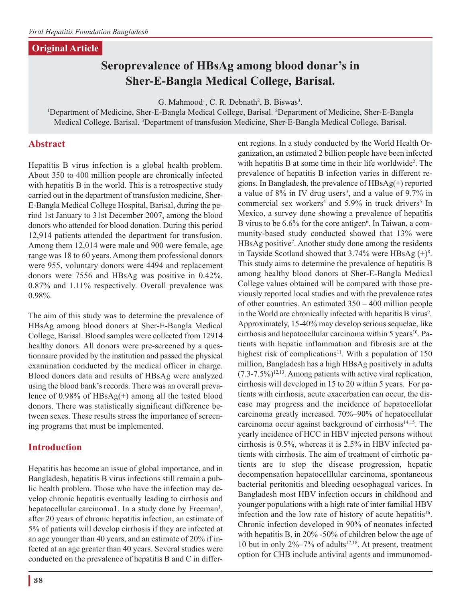# **Original Article**

# **Seroprevalence of HBsAg among blood donar's in Sher-E-Bangla Medical College, Barisal.**

 $G.$  Mahmood<sup>1</sup>, C. R. Debnath<sup>2</sup>, B. Biswas<sup>3</sup>

<sup>1</sup>Department of Medicine, Sher-E-Bangla Medical College, Barisal. <sup>2</sup>Department of Medicine, Sher-E-Bangla<br><sup>1</sup>Department of Medicine, Sher-E-Bangla Medical College, Barisal. <sup>2</sup>Department of Medicine, Sher-E-Bangla Medical College, Barisal. 3 Department of transfusion Medicine, Sher-E-Bangla Medical College, Barisal.

# **Abstract**

Hepatitis B virus infection is a global health problem. About 350 to 400 million people are chronically infected with hepatitis B in the world. This is a retrospective study carried out in the department of transfusion medicine, Sher-E-Bangla Medical College Hospital, Barisal, during the period 1st January to 31st December 2007, among the blood donors who attended for blood donation. During this period 12,914 patients attended the department for transfusion. Among them 12,014 were male and 900 were female, age range was 18 to 60 years. Among them professional donors were 955, voluntary donors were 4494 and replacement donors were 7556 and HBsAg was positive in 0.42%, 0.87% and 1.11% respectively. Overall prevalence was 0.98%.

The aim of this study was to determine the prevalence of HBsAg among blood donors at Sher-E-Bangla Medical College, Barisal. Blood samples were collected from 12914 healthy donors. All donors were pre-screened by a questionnaire provided by the institution and passed the physical examination conducted by the medical officer in charge. Blood donors data and results of HBsAg were analyzed using the blood bank's records. There was an overall prevalence of 0.98% of HBsAg(+) among all the tested blood donors. There was statistically significant difference between sexes. These results stress the importance of screening programs that must be implemented.

# **Introduction**

Hepatitis has become an issue of global importance, and in Bangladesh, hepatitis B virus infections still remain a public health problem. Those who have the infection may develop chronic hepatitis eventually leading to cirrhosis and hepatocellular carcinoma1. In a study done by Freeman<sup>1</sup>, after 20 years of chronic hepatitis infection, an estimate of 5% of patients will develop cirrhosis if they are infected at an age younger than 40 years, and an estimate of 20% if infected at an age greater than 40 years. Several studies were conducted on the prevalence of hepatitis B and C in different regions. In a study conducted by the World Health Organization, an estimated 2 billion people have been infected with hepatitis B at some time in their life worldwide<sup>2</sup>. The prevalence of hepatitis B infection varies in different regions. In Bangladesh, the prevalence of HBsAg(+) reported a value of  $8\%$  in IV drug users<sup>3</sup>, and a value of 9.7% in commercial sex workers<sup>4</sup> and  $5.9\%$  in truck drivers<sup>5</sup> In Mexico, a survey done showing a prevalence of hepatitis B virus to be 6.6% for the core antigen<sup>6</sup>. In Taiwan, a community-based study conducted showed that 13% were HBsAg positive7 . Another study done among the residents in Tayside Scotland showed that  $3.74\%$  were HBsAg  $(+)$ <sup>8</sup>. This study aims to determine the prevalence of hepatitis B among healthy blood donors at Sher-E-Bangla Medical College values obtained will be compared with those previously reported local studies and with the prevalence rates of other countries. An estimated 350 – 400 million people in the World are chronically infected with hepatitis B virus<sup>9</sup>. Approximately, 15-40% may develop serious sequelae, like cirrhosis and hepatocellular carcinoma within 5 years<sup>10</sup>. Patients with hepatic inflammation and fibrosis are at the highest risk of complications<sup>11</sup>. With a population of  $150$ million, Bangladesh has a high HBsAg positively in adults  $(7.3-7.5\%)^{12,13}$ . Among patients with active viral replication, cirrhosis will developed in 15 to 20 within 5 years. For patients with cirrhosis, acute exacerbation can occur, the disease may progress and the incidence of hepatocellolar carcinoma greatly increased. 70%–90% of hepatocellular carcinoma occur against background of cirrhosis<sup>14,15</sup>. The yearly incidence of HCC in HBV injected persons without cirrhosis is 0.5%, whereas it is 2.5% in HBV infected patients with cirrhosis. The aim of treatment of cirrhotic patients are to stop the disease progression, hepatic decompensation hepatocelllular carcinoma, spontaneous bacterial peritonitis and bleeding oesophageal varices. In Bangladesh most HBV infection occurs in childhood and younger populations with a high rate of inter familial HBV infection and the low rate of history of acute hepatitis<sup>16</sup>. Chronic infection developed in 90% of neonates infected with hepatitis B, in 20% -50% of children below the age of 10 but in only 2%–7% of adults17,18. At present, treatment option for CHB include antiviral agents and immunomod-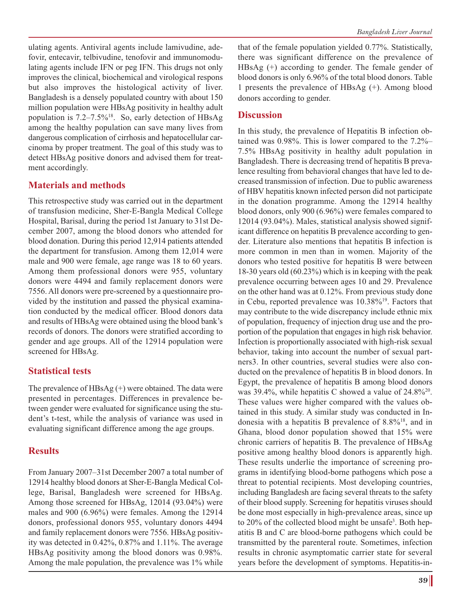ulating agents. Antiviral agents include lamivudine, adefovir, entecavir, telbivudine, tenofovir and immunomodulating agents include IFN or peg IFN. This drugs not only improves the clinical, biochemical and virological respons but also improves the histological activity of liver. Bangladesh is a densely populated country with about 150 million population were HBsAg positivity in healthy adult population is  $7.2-7.5\%$ <sup>18</sup>. So, early detection of HBsAg among the healthy population can save many lives from dangerous complication of cirrhosis and hepatocellular carcinoma by proper treatment. The goal of this study was to detect HBsAg positive donors and advised them for treatment accordingly.

# **Materials and methods**

This retrospective study was carried out in the department of transfusion medicine, Sher-E-Bangla Medical College Hospital, Barisal, during the period 1st January to 31st December 2007, among the blood donors who attended for blood donation. During this period 12,914 patients attended the department for transfusion. Among them 12,014 were male and 900 were female, age range was 18 to 60 years. Among them professional donors were 955, voluntary donors were 4494 and family replacement donors were 7556. All donors were pre-screened by a questionnaire provided by the institution and passed the physical examination conducted by the medical officer. Blood donors data and results of HBsAg were obtained using the blood bank's records of donors. The donors were stratified according to gender and age groups. All of the 12914 population were screened for HBsAg.

#### **Statistical tests**

The prevalence of  $HBsAg$  (+) were obtained. The data were presented in percentages. Differences in prevalence between gender were evaluated for significance using the student's t-test, while the analysis of variance was used in evaluating significant difference among the age groups.

#### **Results**

From January 2007–31st December 2007 a total number of 12914 healthy blood donors at Sher-E-Bangla Medical College, Barisal, Bangladesh were screened for HBsAg. Among those screened for HBsAg, 12014 (93.04%) were males and 900 (6.96%) were females. Among the 12914 donors, professional donors 955, voluntary donors 4494 and family replacement donors were 7556. HBsAg positivity was detected in 0.42%, 0.87% and 1.11%. The average HBsAg positivity among the blood donors was 0.98%. Among the male population, the prevalence was 1% while

that of the female population yielded 0.77%. Statistically, there was significant difference on the prevalence of HBsAg (+) according to gender. The female gender of blood donors is only 6.96% of the total blood donors. Table 1 presents the prevalence of HBsAg (+). Among blood donors according to gender.

### **Discussion**

In this study, the prevalence of Hepatitis B infection obtained was 0.98%. This is lower compared to the 7.2%– 7.5% HBsAg positivity in healthy adult population in Bangladesh. There is decreasing trend of hepatitis B prevalence resulting from behavioral changes that have led to decreased transmission of infection. Due to public awareness of HBV hepatitis known infected person did not participate in the donation programme. Among the 12914 healthy blood donors, only 900 (6.96%) were females compared to 12014 (93.04%). Males, statistical analysis showed significant difference on hepatitis B prevalence according to gender. Literature also mentions that hepatitis B infection is more common in men than in women. Majority of the donors who tested positive for hepatitis B were between 18-30 years old (60.23%) which is in keeping with the peak prevalence occurring between ages 10 and 29. Prevalence on the other hand was at 0.12%. From previous study done in Cebu, reported prevalence was 10.38%19. Factors that may contribute to the wide discrepancy include ethnic mix of population, frequency of injection drug use and the proportion of the population that engages in high risk behavior. Infection is proportionally associated with high-risk sexual behavior, taking into account the number of sexual partners3. In other countries, several studies were also conducted on the prevalence of hepatitis B in blood donors. In Egypt, the prevalence of hepatitis B among blood donors was 39.4%, while hepatitis C showed a value of  $24.8\frac{620}{6}$ . These values were higher compared with the values obtained in this study. A similar study was conducted in Indonesia with a hepatitis B prevalence of  $8.8\%$ <sup>18</sup>, and in Ghana, blood donor population showed that 15% were chronic carriers of hepatitis B. The prevalence of HBsAg positive among healthy blood donors is apparently high. These results underlie the importance of screening programs in identifying blood-borne pathogens which pose a threat to potential recipients. Most developing countries, including Bangladesh are facing several threats to the safety of their blood supply. Screening for hepatitis viruses should be done most especially in high-prevalence areas, since up to 20% of the collected blood might be unsafe<sup>3</sup>. Both hepatitis B and C are blood-borne pathogens which could be transmitted by the parenteral route. Sometimes, infection results in chronic asymptomatic carrier state for several years before the development of symptoms. Hepatitis-in-